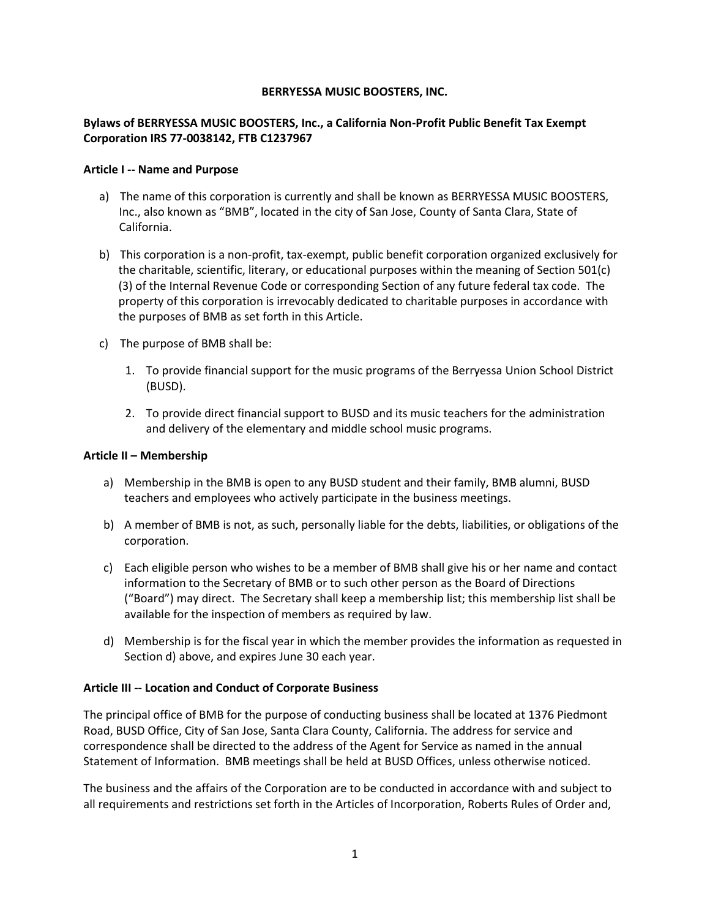#### **BERRYESSA MUSIC BOOSTERS, INC.**

# **Bylaws of BERRYESSA MUSIC BOOSTERS, Inc., a California Non-Profit Public Benefit Tax Exempt Corporation IRS 77-0038142, FTB C1237967**

#### **Article I -- Name and Purpose**

- a) The name of this corporation is currently and shall be known as BERRYESSA MUSIC BOOSTERS, Inc., also known as "BMB", located in the city of San Jose, County of Santa Clara, State of California.
- b) This corporation is a non-profit, tax-exempt, public benefit corporation organized exclusively for the charitable, scientific, literary, or educational purposes within the meaning of Section 501(c) (3) of the Internal Revenue Code or corresponding Section of any future federal tax code. The property of this corporation is irrevocably dedicated to charitable purposes in accordance with the purposes of BMB as set forth in this Article.
- c) The purpose of BMB shall be:
	- 1. To provide financial support for the music programs of the Berryessa Union School District (BUSD).
	- 2. To provide direct financial support to BUSD and its music teachers for the administration and delivery of the elementary and middle school music programs.

#### **Article II – Membership**

- a) Membership in the BMB is open to any BUSD student and their family, BMB alumni, BUSD teachers and employees who actively participate in the business meetings.
- b) A member of BMB is not, as such, personally liable for the debts, liabilities, or obligations of the corporation.
- c) Each eligible person who wishes to be a member of BMB shall give his or her name and contact information to the Secretary of BMB or to such other person as the Board of Directions ("Board") may direct. The Secretary shall keep a membership list; this membership list shall be available for the inspection of members as required by law.
- d) Membership is for the fiscal year in which the member provides the information as requested in Section d) above, and expires June 30 each year.

# **Article III -- Location and Conduct of Corporate Business**

The principal office of BMB for the purpose of conducting business shall be located at 1376 Piedmont Road, BUSD Office, City of San Jose, Santa Clara County, California. The address for service and correspondence shall be directed to the address of the Agent for Service as named in the annual Statement of Information. BMB meetings shall be held at BUSD Offices, unless otherwise noticed.

The business and the affairs of the Corporation are to be conducted in accordance with and subject to all requirements and restrictions set forth in the Articles of Incorporation, Roberts Rules of Order and,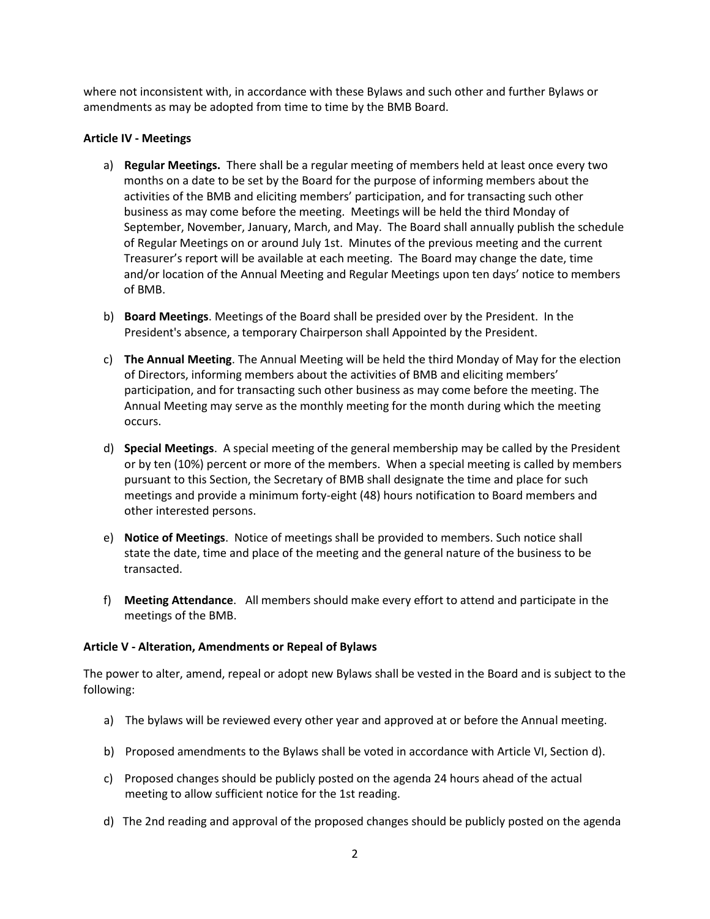where not inconsistent with, in accordance with these Bylaws and such other and further Bylaws or amendments as may be adopted from time to time by the BMB Board.

#### **Article IV - Meetings**

- a) **Regular Meetings.** There shall be a regular meeting of members held at least once every two months on a date to be set by the Board for the purpose of informing members about the activities of the BMB and eliciting members' participation, and for transacting such other business as may come before the meeting. Meetings will be held the third Monday of September, November, January, March, and May. The Board shall annually publish the schedule of Regular Meetings on or around July 1st. Minutes of the previous meeting and the current Treasurer's report will be available at each meeting. The Board may change the date, time and/or location of the Annual Meeting and Regular Meetings upon ten days' notice to members of BMB.
- b) **Board Meetings**. Meetings of the Board shall be presided over by the President. In the President's absence, a temporary Chairperson shall Appointed by the President.
- c) **The Annual Meeting**. The Annual Meeting will be held the third Monday of May for the election of Directors, informing members about the activities of BMB and eliciting members' participation, and for transacting such other business as may come before the meeting. The Annual Meeting may serve as the monthly meeting for the month during which the meeting occurs.
- d) **Special Meetings**. A special meeting of the general membership may be called by the President or by ten (10%) percent or more of the members. When a special meeting is called by members pursuant to this Section, the Secretary of BMB shall designate the time and place for such meetings and provide a minimum forty-eight (48) hours notification to Board members and other interested persons.
- e) **Notice of Meetings**. Notice of meetings shall be provided to members. Such notice shall state the date, time and place of the meeting and the general nature of the business to be transacted.
- f) **Meeting Attendance**. All members should make every effort to attend and participate in the meetings of the BMB.

#### **Article V - Alteration, Amendments or Repeal of Bylaws**

The power to alter, amend, repeal or adopt new Bylaws shall be vested in the Board and is subject to the following:

- a) The bylaws will be reviewed every other year and approved at or before the Annual meeting.
- b) Proposed amendments to the Bylaws shall be voted in accordance with Article VI, Section d).
- c) Proposed changes should be publicly posted on the agenda 24 hours ahead of the actual meeting to allow sufficient notice for the 1st reading.
- d) The 2nd reading and approval of the proposed changes should be publicly posted on the agenda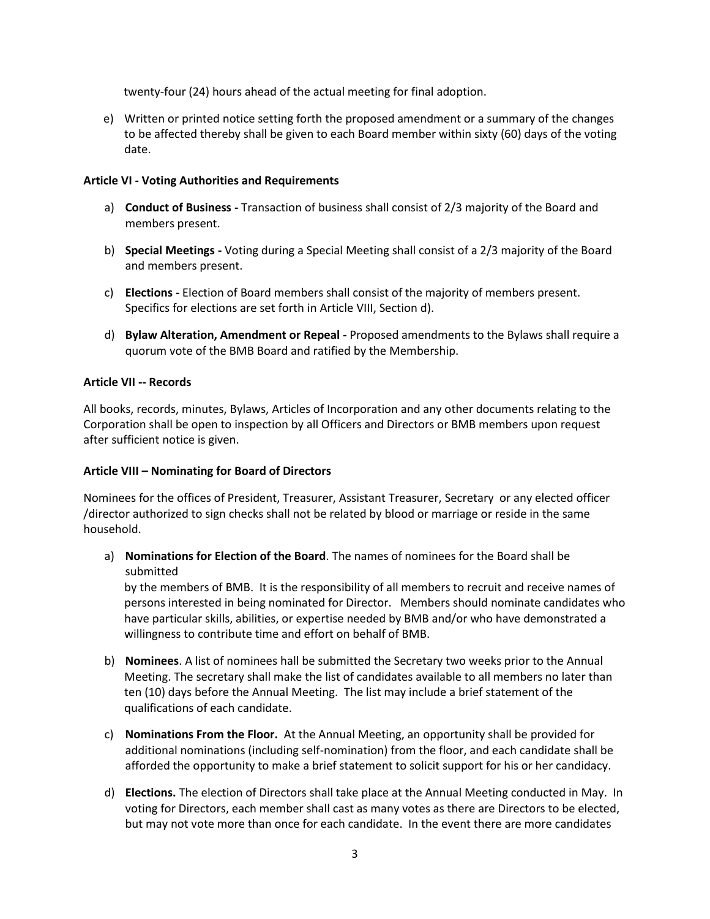twenty-four (24) hours ahead of the actual meeting for final adoption.

e) Written or printed notice setting forth the proposed amendment or a summary of the changes to be affected thereby shall be given to each Board member within sixty (60) days of the voting date.

# **Article VI - Voting Authorities and Requirements**

- a) **Conduct of Business -** Transaction of business shall consist of 2/3 majority of the Board and members present.
- b) **Special Meetings -** Voting during a Special Meeting shall consist of a 2/3 majority of the Board and members present.
- c) **Elections -** Election of Board members shall consist of the majority of members present. Specifics for elections are set forth in Article VIII, Section d).
- d) **Bylaw Alteration, Amendment or Repeal -** Proposed amendments to the Bylaws shall require a quorum vote of the BMB Board and ratified by the Membership.

# **Article VII -- Records**

All books, records, minutes, Bylaws, Articles of Incorporation and any other documents relating to the Corporation shall be open to inspection by all Officers and Directors or BMB members upon request after sufficient notice is given.

# **Article VIII – Nominating for Board of Directors**

Nominees for the offices of President, Treasurer, Assistant Treasurer, Secretary or any elected officer /director authorized to sign checks shall not be related by blood or marriage or reside in the same household.

a) **Nominations for Election of the Board**. The names of nominees for the Board shall be submitted

by the members of BMB. It is the responsibility of all members to recruit and receive names of persons interested in being nominated for Director. Members should nominate candidates who have particular skills, abilities, or expertise needed by BMB and/or who have demonstrated a willingness to contribute time and effort on behalf of BMB.

- b) **Nominees**. A list of nominees hall be submitted the Secretary two weeks prior to the Annual Meeting. The secretary shall make the list of candidates available to all members no later than ten (10) days before the Annual Meeting. The list may include a brief statement of the qualifications of each candidate.
- c) **Nominations From the Floor.** At the Annual Meeting, an opportunity shall be provided for additional nominations (including self-nomination) from the floor, and each candidate shall be afforded the opportunity to make a brief statement to solicit support for his or her candidacy.
- d) **Elections.** The election of Directors shall take place at the Annual Meeting conducted in May. In voting for Directors, each member shall cast as many votes as there are Directors to be elected, but may not vote more than once for each candidate. In the event there are more candidates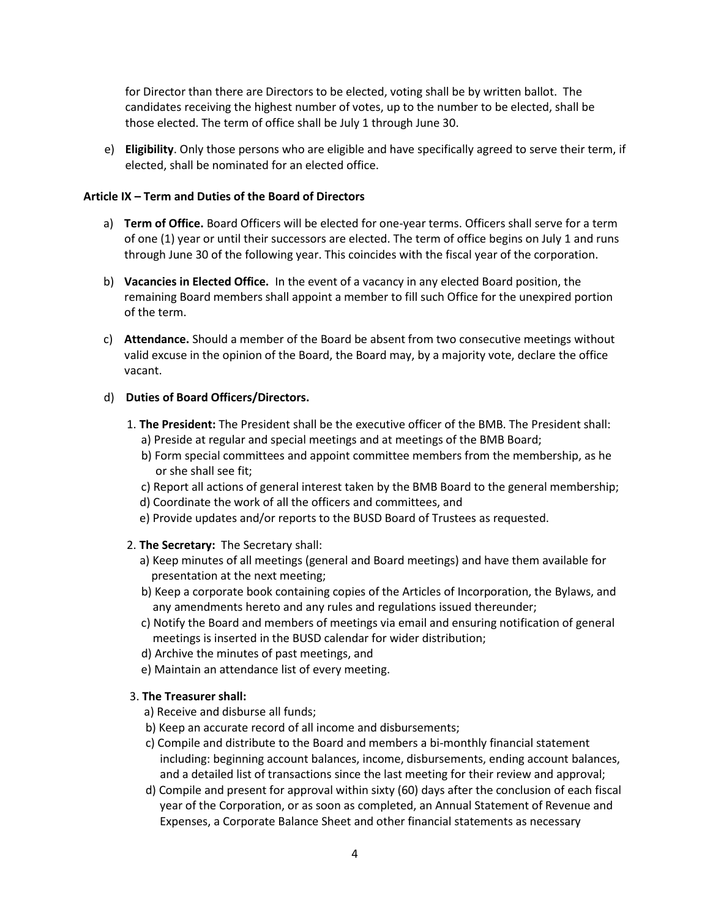for Director than there are Directors to be elected, voting shall be by written ballot. The candidates receiving the highest number of votes, up to the number to be elected, shall be those elected. The term of office shall be July 1 through June 30.

e) **Eligibility**. Only those persons who are eligible and have specifically agreed to serve their term, if elected, shall be nominated for an elected office.

#### **Article IX – Term and Duties of the Board of Directors**

- a) **Term of Office.** Board Officers will be elected for one-year terms. Officers shall serve for a term of one (1) year or until their successors are elected. The term of office begins on July 1 and runs through June 30 of the following year. This coincides with the fiscal year of the corporation.
- b) **Vacancies in Elected Office.** In the event of a vacancy in any elected Board position, the remaining Board members shall appoint a member to fill such Office for the unexpired portion of the term.
- c) **Attendance.** Should a member of the Board be absent from two consecutive meetings without valid excuse in the opinion of the Board, the Board may, by a majority vote, declare the office vacant.

# d) **Duties of Board Officers/Directors.**

- 1. **The President:** The President shall be the executive officer of the BMB. The President shall: a) Preside at regular and special meetings and at meetings of the BMB Board;
	- b) Form special committees and appoint committee members from the membership, as he or she shall see fit;
	- c) Report all actions of general interest taken by the BMB Board to the general membership;
	- d) Coordinate the work of all the officers and committees, and
	- e) Provide updates and/or reports to the BUSD Board of Trustees as requested.

# 2. **The Secretary:** The Secretary shall:

- a) Keep minutes of all meetings (general and Board meetings) and have them available for presentation at the next meeting;
- b) Keep a corporate book containing copies of the Articles of Incorporation, the Bylaws, and any amendments hereto and any rules and regulations issued thereunder;
- c) Notify the Board and members of meetings via email and ensuring notification of general meetings is inserted in the BUSD calendar for wider distribution;
- d) Archive the minutes of past meetings, and
- e) Maintain an attendance list of every meeting.

# 3. **The Treasurer shall:**

- a) Receive and disburse all funds;
- b) Keep an accurate record of all income and disbursements;
- c) Compile and distribute to the Board and members a bi-monthly financial statement including: beginning account balances, income, disbursements, ending account balances, and a detailed list of transactions since the last meeting for their review and approval;
- d) Compile and present for approval within sixty (60) days after the conclusion of each fiscal year of the Corporation, or as soon as completed, an Annual Statement of Revenue and Expenses, a Corporate Balance Sheet and other financial statements as necessary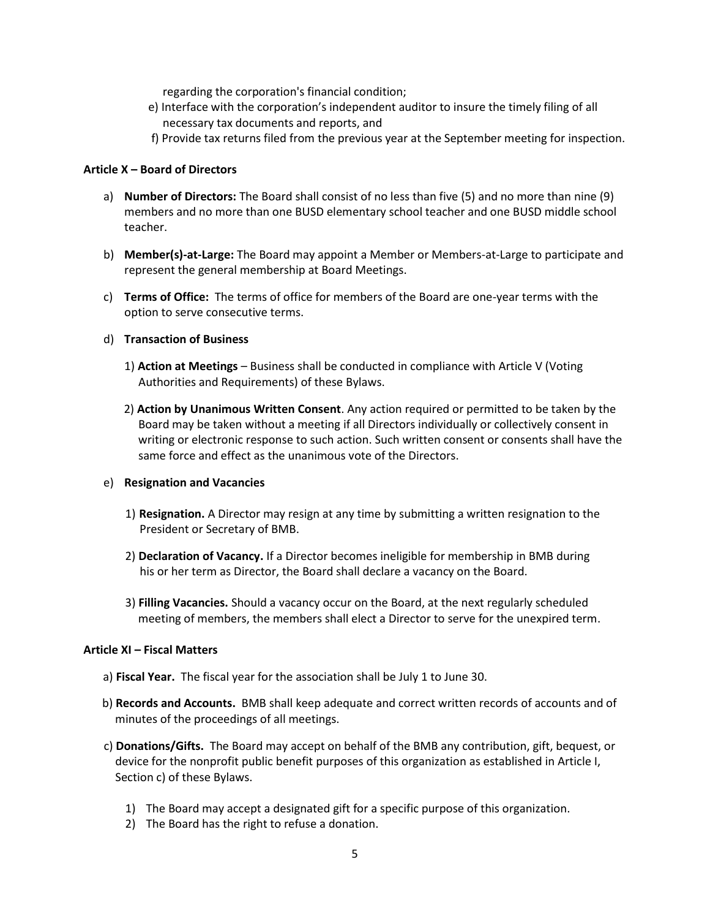regarding the corporation's financial condition;

- e) Interface with the corporation's independent auditor to insure the timely filing of all necessary tax documents and reports, and
- f) Provide tax returns filed from the previous year at the September meeting for inspection.

#### **Article X – Board of Directors**

- a) **Number of Directors:** The Board shall consist of no less than five (5) and no more than nine (9) members and no more than one BUSD elementary school teacher and one BUSD middle school teacher.
- b) **Member(s)-at-Large:** The Board may appoint a Member or Members-at-Large to participate and represent the general membership at Board Meetings.
- c) **Terms of Office:** The terms of office for members of the Board are one-year terms with the option to serve consecutive terms.

#### d) **Transaction of Business**

- 1) **Action at Meetings** Business shall be conducted in compliance with Article V (Voting Authorities and Requirements) of these Bylaws.
- 2) **Action by Unanimous Written Consent**. Any action required or permitted to be taken by the Board may be taken without a meeting if all Directors individually or collectively consent in writing or electronic response to such action. Such written consent or consents shall have the same force and effect as the unanimous vote of the Directors.

#### e) **Resignation and Vacancies**

- 1) **Resignation.** A Director may resign at any time by submitting a written resignation to the President or Secretary of BMB.
- 2) **Declaration of Vacancy.** If a Director becomes ineligible for membership in BMB during his or her term as Director, the Board shall declare a vacancy on the Board.
- 3) **Filling Vacancies.** Should a vacancy occur on the Board, at the next regularly scheduled meeting of members, the members shall elect a Director to serve for the unexpired term.

# **Article XI – Fiscal Matters**

- a) **Fiscal Year.** The fiscal year for the association shall be July 1 to June 30.
- b) **Records and Accounts.** BMB shall keep adequate and correct written records of accounts and of minutes of the proceedings of all meetings.
- c) **Donations/Gifts.** The Board may accept on behalf of the BMB any contribution, gift, bequest, or device for the nonprofit public benefit purposes of this organization as established in Article I, Section c) of these Bylaws.
	- 1) The Board may accept a designated gift for a specific purpose of this organization.
	- 2) The Board has the right to refuse a donation.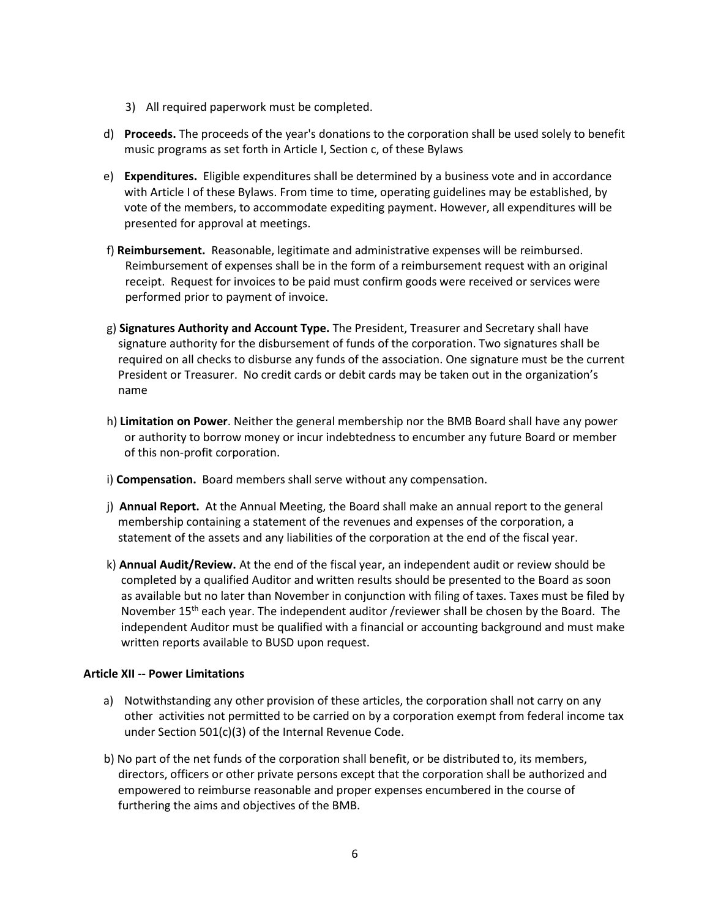- 3) All required paperwork must be completed.
- d) **Proceeds.** The proceeds of the year's donations to the corporation shall be used solely to benefit music programs as set forth in Article I, Section c, of these Bylaws
- e) **Expenditures.** Eligible expenditures shall be determined by a business vote and in accordance with Article I of these Bylaws. From time to time, operating guidelines may be established, by vote of the members, to accommodate expediting payment. However, all expenditures will be presented for approval at meetings.
- f) **Reimbursement.** Reasonable, legitimate and administrative expenses will be reimbursed. Reimbursement of expenses shall be in the form of a reimbursement request with an original receipt. Request for invoices to be paid must confirm goods were received or services were performed prior to payment of invoice.
- g) **Signatures Authority and Account Type.** The President, Treasurer and Secretary shall have signature authority for the disbursement of funds of the corporation. Two signatures shall be required on all checks to disburse any funds of the association. One signature must be the current President or Treasurer. No credit cards or debit cards may be taken out in the organization's name
- h) **Limitation on Power**. Neither the general membership nor the BMB Board shall have any power or authority to borrow money or incur indebtedness to encumber any future Board or member of this non-profit corporation.
- i) **Compensation.** Board members shall serve without any compensation.
- j) **Annual Report.** At the Annual Meeting, the Board shall make an annual report to the general membership containing a statement of the revenues and expenses of the corporation, a statement of the assets and any liabilities of the corporation at the end of the fiscal year.
- k) **Annual Audit/Review.** At the end of the fiscal year, an independent audit or review should be completed by a qualified Auditor and written results should be presented to the Board as soon as available but no later than November in conjunction with filing of taxes. Taxes must be filed by November 15<sup>th</sup> each year. The independent auditor /reviewer shall be chosen by the Board. The independent Auditor must be qualified with a financial or accounting background and must make written reports available to BUSD upon request.

# **Article XII -- Power Limitations**

- a) Notwithstanding any other provision of these articles, the corporation shall not carry on any other activities not permitted to be carried on by a corporation exempt from federal income tax under Section 501(c)(3) of the Internal Revenue Code.
- b) No part of the net funds of the corporation shall benefit, or be distributed to, its members, directors, officers or other private persons except that the corporation shall be authorized and empowered to reimburse reasonable and proper expenses encumbered in the course of furthering the aims and objectives of the BMB.